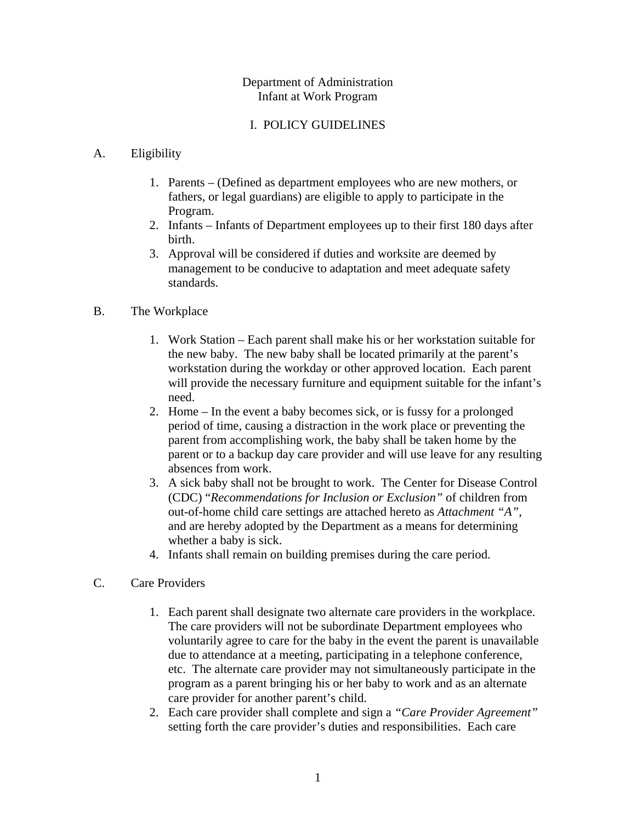### Department of Administration Infant at Work Program

### I. POLICY GUIDELINES

### A. Eligibility

- 1. Parents (Defined as department employees who are new mothers, or fathers, or legal guardians) are eligible to apply to participate in the Program.
- 2. Infants Infants of Department employees up to their first 180 days after birth.
- 3. Approval will be considered if duties and worksite are deemed by management to be conducive to adaptation and meet adequate safety standards.

### B. The Workplace

- 1. Work Station Each parent shall make his or her workstation suitable for the new baby. The new baby shall be located primarily at the parent's workstation during the workday or other approved location. Each parent will provide the necessary furniture and equipment suitable for the infant's need.
- 2. Home In the event a baby becomes sick, or is fussy for a prolonged period of time, causing a distraction in the work place or preventing the parent from accomplishing work, the baby shall be taken home by the parent or to a backup day care provider and will use leave for any resulting absences from work.
- 3. A sick baby shall not be brought to work. The Center for Disease Control (CDC) "*Recommendations for Inclusion or Exclusion"* of children from out-of-home child care settings are attached hereto as *Attachment "A"*, and are hereby adopted by the Department as a means for determining whether a baby is sick.
- 4. Infants shall remain on building premises during the care period.

### C. Care Providers

- 1. Each parent shall designate two alternate care providers in the workplace. The care providers will not be subordinate Department employees who voluntarily agree to care for the baby in the event the parent is unavailable due to attendance at a meeting, participating in a telephone conference, etc. The alternate care provider may not simultaneously participate in the program as a parent bringing his or her baby to work and as an alternate care provider for another parent's child.
- 2. Each care provider shall complete and sign a *"Care Provider Agreement"*  setting forth the care provider's duties and responsibilities. Each care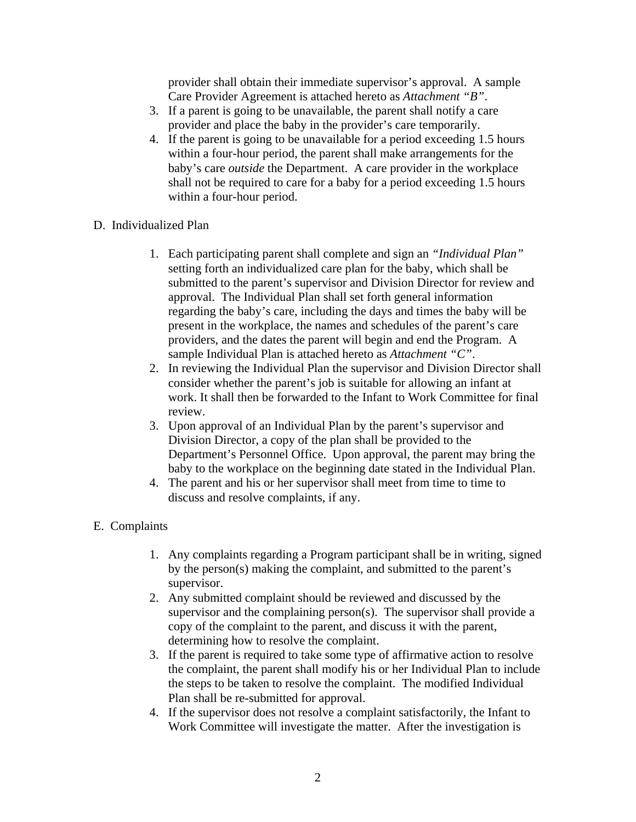provider shall obtain their immediate supervisor's approval. A sample Care Provider Agreement is attached hereto as *Attachment "B"*.

- 3. If a parent is going to be unavailable, the parent shall notify a care provider and place the baby in the provider's care temporarily.
- 4. If the parent is going to be unavailable for a period exceeding 1.5 hours within a four-hour period, the parent shall make arrangements for the baby's care *outside* the Department. A care provider in the workplace shall not be required to care for a baby for a period exceeding 1.5 hours within a four-hour period.
- D. Individualized Plan
	- 1. Each participating parent shall complete and sign an *"Individual Plan"*  setting forth an individualized care plan for the baby, which shall be submitted to the parent's supervisor and Division Director for review and approval. The Individual Plan shall set forth general information regarding the baby's care, including the days and times the baby will be present in the workplace, the names and schedules of the parent's care providers, and the dates the parent will begin and end the Program. A sample Individual Plan is attached hereto as *Attachment "C"*.
	- 2. In reviewing the Individual Plan the supervisor and Division Director shall consider whether the parent's job is suitable for allowing an infant at work. It shall then be forwarded to the Infant to Work Committee for final review.
	- 3. Upon approval of an Individual Plan by the parent's supervisor and Division Director, a copy of the plan shall be provided to the Department's Personnel Office. Upon approval, the parent may bring the baby to the workplace on the beginning date stated in the Individual Plan.
	- 4. The parent and his or her supervisor shall meet from time to time to discuss and resolve complaints, if any.

### E. Complaints

- 1. Any complaints regarding a Program participant shall be in writing, signed by the person(s) making the complaint, and submitted to the parent's supervisor.
- 2. Any submitted complaint should be reviewed and discussed by the supervisor and the complaining person(s). The supervisor shall provide a copy of the complaint to the parent, and discuss it with the parent, determining how to resolve the complaint.
- 3. If the parent is required to take some type of affirmative action to resolve the complaint, the parent shall modify his or her Individual Plan to include the steps to be taken to resolve the complaint. The modified Individual Plan shall be re-submitted for approval.
- 4. If the supervisor does not resolve a complaint satisfactorily, the Infant to Work Committee will investigate the matter. After the investigation is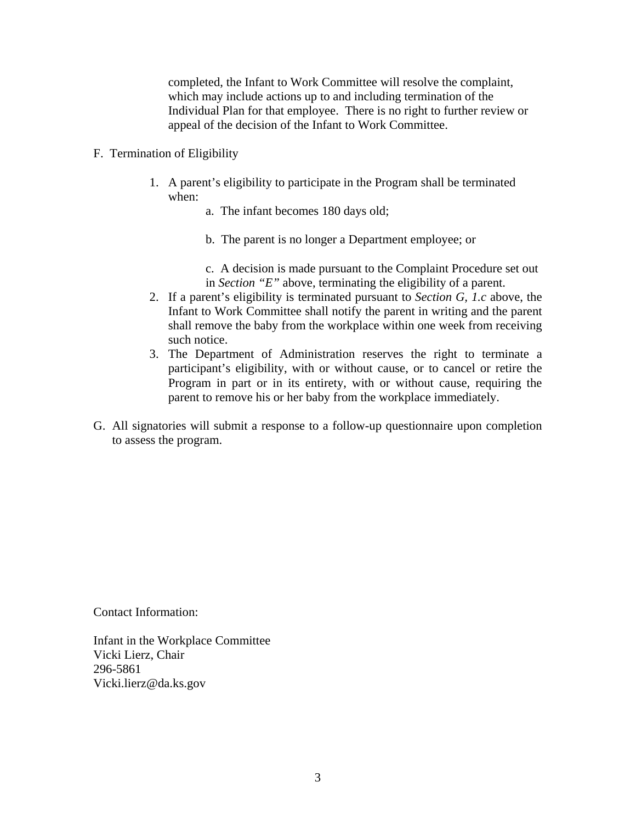completed, the Infant to Work Committee will resolve the complaint, which may include actions up to and including termination of the Individual Plan for that employee. There is no right to further review or appeal of the decision of the Infant to Work Committee.

- F. Termination of Eligibility
	- 1. A parent's eligibility to participate in the Program shall be terminated when:
		- a. The infant becomes 180 days old;
		- b. The parent is no longer a Department employee; or
		- c. A decision is made pursuant to the Complaint Procedure set out in *Section "E"* above, terminating the eligibility of a parent.
	- 2. If a parent's eligibility is terminated pursuant to *Section G, 1.c* above, the Infant to Work Committee shall notify the parent in writing and the parent shall remove the baby from the workplace within one week from receiving such notice.
	- 3. The Department of Administration reserves the right to terminate a participant's eligibility, with or without cause, or to cancel or retire the Program in part or in its entirety, with or without cause, requiring the parent to remove his or her baby from the workplace immediately.
- G. All signatories will submit a response to a follow-up questionnaire upon completion to assess the program.

Contact Information:

Infant in the Workplace Committee Vicki Lierz, Chair 296-5861 Vicki.lierz@da.ks.gov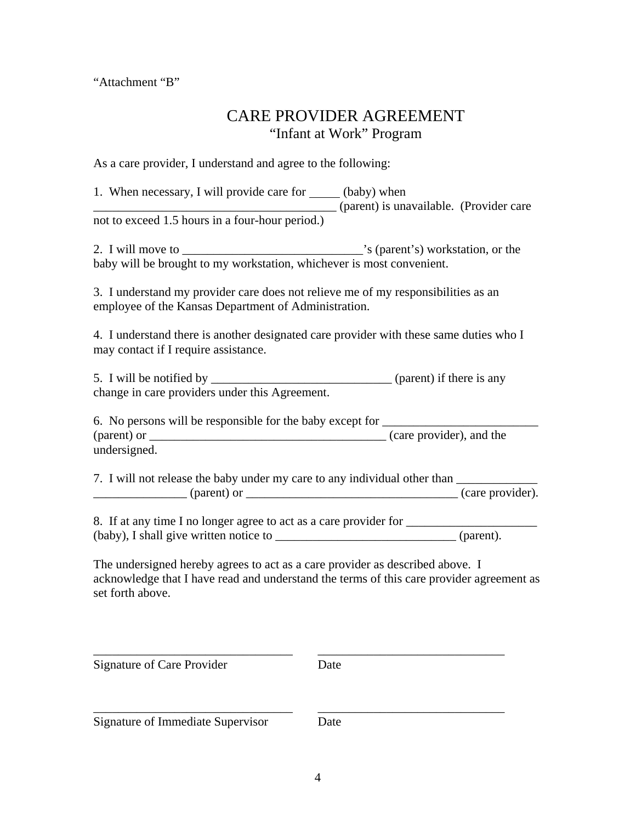"Attachment "B"

## CARE PROVIDER AGREEMENT "Infant at Work" Program

As a care provider, I understand and agree to the following:

| 1. When necessary, I will provide care for ______ (baby) when<br>(parent) is unavailable. (Provider care                                                                                                                                                                                                                                                                                                                          |  |
|-----------------------------------------------------------------------------------------------------------------------------------------------------------------------------------------------------------------------------------------------------------------------------------------------------------------------------------------------------------------------------------------------------------------------------------|--|
| not to exceed 1.5 hours in a four-hour period.)                                                                                                                                                                                                                                                                                                                                                                                   |  |
| baby will be brought to my workstation, whichever is most convenient.                                                                                                                                                                                                                                                                                                                                                             |  |
| 3. I understand my provider care does not relieve me of my responsibilities as an<br>employee of the Kansas Department of Administration.                                                                                                                                                                                                                                                                                         |  |
| 4. I understand there is another designated care provider with these same duties who I<br>may contact if I require assistance.                                                                                                                                                                                                                                                                                                    |  |
| change in care providers under this Agreement.                                                                                                                                                                                                                                                                                                                                                                                    |  |
| 6. No persons will be responsible for the baby except for _______________________                                                                                                                                                                                                                                                                                                                                                 |  |
| undersigned.                                                                                                                                                                                                                                                                                                                                                                                                                      |  |
| 7. I will not release the baby under my care to any individual other than _____________                                                                                                                                                                                                                                                                                                                                           |  |
| $\frac{1}{\sqrt{1-\frac{1}{\sqrt{1-\frac{1}{\sqrt{1-\frac{1}{\sqrt{1-\frac{1}{\sqrt{1-\frac{1}{\sqrt{1-\frac{1}{\sqrt{1-\frac{1}{\sqrt{1-\frac{1}{\sqrt{1-\frac{1}{\sqrt{1-\frac{1}{\sqrt{1-\frac{1}{\sqrt{1-\frac{1}{\sqrt{1-\frac{1}{\sqrt{1-\frac{1}{\sqrt{1-\frac{1}{\sqrt{1-\frac{1}{\sqrt{1-\frac{1}{\sqrt{1-\frac{1}{\sqrt{1-\frac{1}{\sqrt{1-\frac{1}{\sqrt{1-\frac{1}{\sqrt{1-\frac{1}{\sqrt{1-\frac{1}{\sqrt{1-\frac{1$ |  |
| 8. If at any time I no longer agree to act as a care provider for _______________                                                                                                                                                                                                                                                                                                                                                 |  |
|                                                                                                                                                                                                                                                                                                                                                                                                                                   |  |
| The undersigned hereby agrees to act as a care provider as described above. I<br>acknowledge that I have read and understand the terms of this care provider agreement as<br>set forth above.                                                                                                                                                                                                                                     |  |

Signature of Care Provider Date

\_\_\_\_\_\_\_\_\_\_\_\_\_\_\_\_\_\_\_\_\_\_\_\_\_\_\_\_\_\_\_\_ \_\_\_\_\_\_\_\_\_\_\_\_\_\_\_\_\_\_\_\_\_\_\_\_\_\_\_\_\_\_

\_\_\_\_\_\_\_\_\_\_\_\_\_\_\_\_\_\_\_\_\_\_\_\_\_\_\_\_\_\_\_\_ \_\_\_\_\_\_\_\_\_\_\_\_\_\_\_\_\_\_\_\_\_\_\_\_\_\_\_\_\_\_

Signature of Immediate Supervisor Date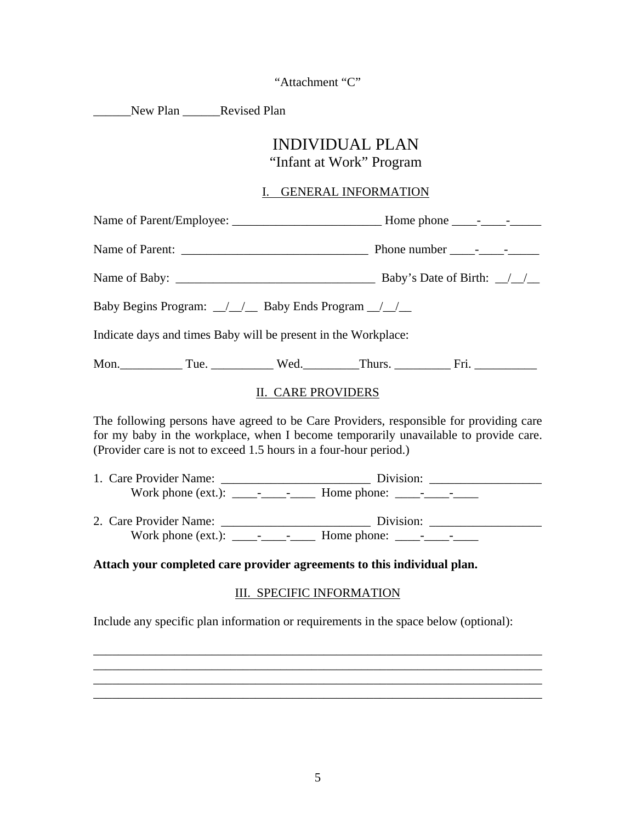"Attachment "C"

New Plan Revised Plan

# INDIVIDUAL PLAN

### "Infant at Work" Program

### I. GENERAL INFORMATION

|  |  | Indicate days and times Baby will be present in the Workplace:                         |  |  |
|--|--|----------------------------------------------------------------------------------------|--|--|
|  |  |                                                                                        |  |  |
|  |  | II. CARE PROVIDERS                                                                     |  |  |
|  |  | The following persons have agreed to be Care Providers, responsible for providing care |  |  |

The following persons have agreed to be Care Providers, responsible for providing care for my baby in the workplace, when I become temporarily unavailable to provide care. (Provider care is not to exceed 1.5 hours in a four-hour period.)

- 1. Care Provider Name: \_\_\_\_\_\_\_\_\_\_\_\_\_\_\_\_\_\_\_\_\_\_\_\_ Division: \_\_\_\_\_\_\_\_\_\_\_\_\_\_\_\_\_\_ Work phone (ext.): \_\_\_\_-\_\_\_\_-\_\_\_\_ Home phone: \_\_\_\_-\_\_\_\_-\_\_\_\_
- 2. Care Provider Name: \_\_\_\_\_\_\_\_\_\_\_\_\_\_\_\_\_\_\_\_\_\_\_\_ Division: \_\_\_\_\_\_\_\_\_\_\_\_\_\_\_\_\_\_ Work phone (ext.): \_\_\_\_-\_\_\_\_-\_\_\_\_ Home phone: \_\_\_\_-\_\_\_\_-\_\_\_\_

#### **Attach your completed care provider agreements to this individual plan.**

### III. SPECIFIC INFORMATION

\_\_\_\_\_\_\_\_\_\_\_\_\_\_\_\_\_\_\_\_\_\_\_\_\_\_\_\_\_\_\_\_\_\_\_\_\_\_\_\_\_\_\_\_\_\_\_\_\_\_\_\_\_\_\_\_\_\_\_\_\_\_\_\_\_\_\_\_\_\_\_\_ \_\_\_\_\_\_\_\_\_\_\_\_\_\_\_\_\_\_\_\_\_\_\_\_\_\_\_\_\_\_\_\_\_\_\_\_\_\_\_\_\_\_\_\_\_\_\_\_\_\_\_\_\_\_\_\_\_\_\_\_\_\_\_\_\_\_\_\_\_\_\_\_

\_\_\_\_\_\_\_\_\_\_\_\_\_\_\_\_\_\_\_\_\_\_\_\_\_\_\_\_\_\_\_\_\_\_\_\_\_\_\_\_\_\_\_\_\_\_\_\_\_\_\_\_\_\_\_\_\_\_\_\_\_\_\_\_\_\_\_\_\_\_\_\_

Include any specific plan information or requirements in the space below (optional):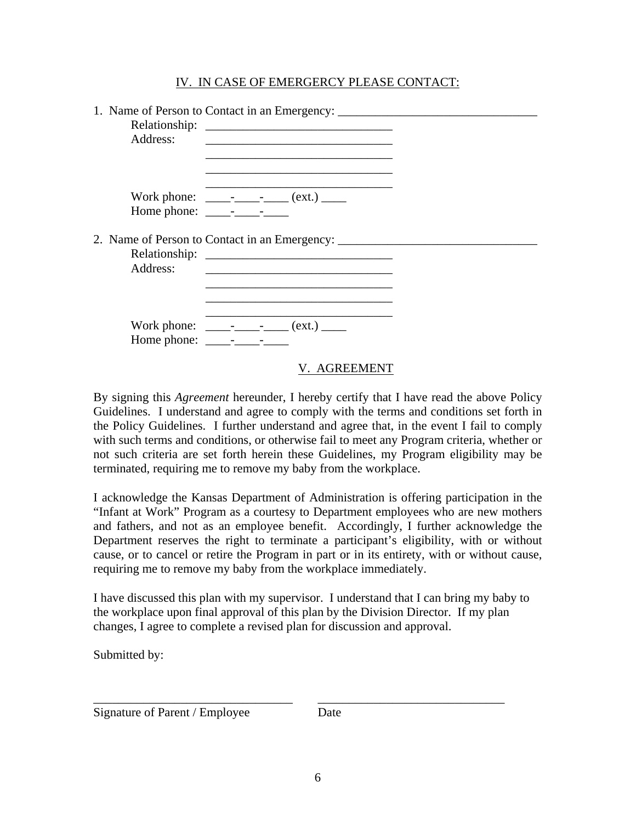### IV. IN CASE OF EMERGERCY PLEASE CONTACT:

| Address: | 1. Name of Person to Contact in an Emergency: ___________________________________<br><u> 1989 - Johann John Stein, markin fan it ferstjer fan de ferstjer fan it ferstjer fan it ferstjer fan it fers</u>                                                                                                           |  |
|----------|---------------------------------------------------------------------------------------------------------------------------------------------------------------------------------------------------------------------------------------------------------------------------------------------------------------------|--|
|          | Work phone: __________________ (ext.) ______                                                                                                                                                                                                                                                                        |  |
| Address: | 2. Name of Person to Contact in an Emergency: ___________________________________<br>Relationship: Network of the state of the state of the state of the state of the state of the state of the state of the state of the state of the state of the state of the state of the state of the state of the state of th |  |
|          | Work phone: ___________________ (ext.) ______<br>Home phone: $\frac{\ }{\ }$                                                                                                                                                                                                                                        |  |
|          | V. AGREEMEN                                                                                                                                                                                                                                                                                                         |  |

By signing this *Agreement* hereunder, I hereby certify that I have read the above Policy Guidelines. I understand and agree to comply with the terms and conditions set forth in the Policy Guidelines. I further understand and agree that, in the event I fail to comply with such terms and conditions, or otherwise fail to meet any Program criteria, whether or not such criteria are set forth herein these Guidelines, my Program eligibility may be terminated, requiring me to remove my baby from the workplace.

I acknowledge the Kansas Department of Administration is offering participation in the "Infant at Work" Program as a courtesy to Department employees who are new mothers and fathers, and not as an employee benefit. Accordingly, I further acknowledge the Department reserves the right to terminate a participant's eligibility, with or without cause, or to cancel or retire the Program in part or in its entirety, with or without cause, requiring me to remove my baby from the workplace immediately.

I have discussed this plan with my supervisor. I understand that I can bring my baby to the workplace upon final approval of this plan by the Division Director. If my plan changes, I agree to complete a revised plan for discussion and approval.

Submitted by:

Signature of Parent / Employee Date

\_\_\_\_\_\_\_\_\_\_\_\_\_\_\_\_\_\_\_\_\_\_\_\_\_\_\_\_\_\_\_\_ \_\_\_\_\_\_\_\_\_\_\_\_\_\_\_\_\_\_\_\_\_\_\_\_\_\_\_\_\_\_